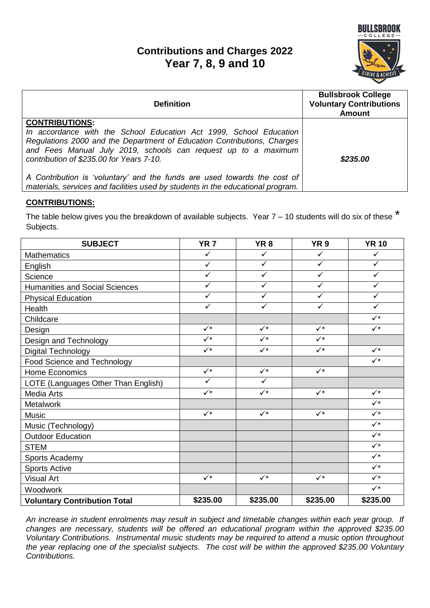# **Contributions and Charges 2022 Year 7, 8, 9 and 10**



| <b>Definition</b>                                                                                                                                                                                                                                                                    | <b>Bullsbrook College</b><br><b>Voluntary Contributions</b><br><b>Amount</b> |
|--------------------------------------------------------------------------------------------------------------------------------------------------------------------------------------------------------------------------------------------------------------------------------------|------------------------------------------------------------------------------|
| <b>CONTRIBUTIONS:</b><br>In accordance with the School Education Act 1999, School Education<br>Regulations 2000 and the Department of Education Contributions, Charges<br>and Fees Manual July 2019, schools can request up to a maximum<br>contribution of \$235.00 for Years 7-10. | \$235.00                                                                     |
| A Contribution is 'voluntary' and the funds are used towards the cost of<br>materials, services and facilities used by students in the educational program.                                                                                                                          |                                                                              |

## **CONTRIBUTIONS:**

The table below gives you the breakdown of available subjects. Year  $7 - 10$  students will do six of these  $*$ Subjects.

| <b>SUBJECT</b>                        | <b>YR 7</b>             | YR <sub>8</sub> | YR <sub>9</sub> | <b>YR 10</b>   |
|---------------------------------------|-------------------------|-----------------|-----------------|----------------|
| <b>Mathematics</b>                    | $\checkmark$            | $\checkmark$    | $\checkmark$    | ✓              |
| English                               | $\checkmark$            | $\checkmark$    | $\checkmark$    | $\checkmark$   |
| Science                               | $\checkmark$            | $\checkmark$    | $\checkmark$    | ✓              |
| <b>Humanities and Social Sciences</b> | $\checkmark$            | $\checkmark$    | $\checkmark$    | ✓              |
| <b>Physical Education</b>             | $\checkmark$            | ✓               | $\checkmark$    | ✓              |
| Health                                | ✓                       | ✓               | $\checkmark$    | ✓              |
| Childcare                             |                         |                 |                 | $\checkmark$   |
| Design                                | $\checkmark$            | $\checkmark$    | $\checkmark$    | $\checkmark^*$ |
| Design and Technology                 | $\checkmark$            | $\checkmark$    | $\checkmark$    |                |
| Digital Technology                    | $\checkmark$            | $\checkmark^*$  | $\checkmark$    | $\checkmark^*$ |
| Food Science and Technology           |                         |                 |                 | $\checkmark$   |
| Home Economics                        | $\checkmark$            | $\sqrt{\star}$  | $\checkmark$    |                |
| LOTE (Languages Other Than English)   | $\overline{\checkmark}$ | $\checkmark$    |                 |                |
| <b>Media Arts</b>                     | $\checkmark$            | $\sqrt{\star}$  | $\checkmark$    | $\checkmark^*$ |
| Metalwork                             |                         |                 |                 | $\checkmark$   |
| <b>Music</b>                          | $\checkmark$            | $\checkmark$    | $\checkmark$    | $\checkmark$   |
| Music (Technology)                    |                         |                 |                 | $\checkmark$   |
| <b>Outdoor Education</b>              |                         |                 |                 | $\checkmark$   |
| <b>STEM</b>                           |                         |                 |                 | $\checkmark$   |
| Sports Academy                        |                         |                 |                 | $\checkmark$   |
| <b>Sports Active</b>                  |                         |                 |                 | $\checkmark$   |
| <b>Visual Art</b>                     | $\checkmark$            | $\checkmark$    | $\checkmark$    | $\checkmark$   |
| Woodwork                              |                         |                 |                 | $\checkmark$   |
| <b>Voluntary Contribution Total</b>   | \$235.00                | \$235.00        | \$235.00        | \$235.00       |

*An increase in student enrolments may result in subject and timetable changes within each year group. If changes are necessary, students will be offered an educational program within the approved \$235.00 Voluntary Contributions. Instrumental music students may be required to attend a music option throughout the year replacing one of the specialist subjects. The cost will be within the approved \$235.00 Voluntary Contributions.*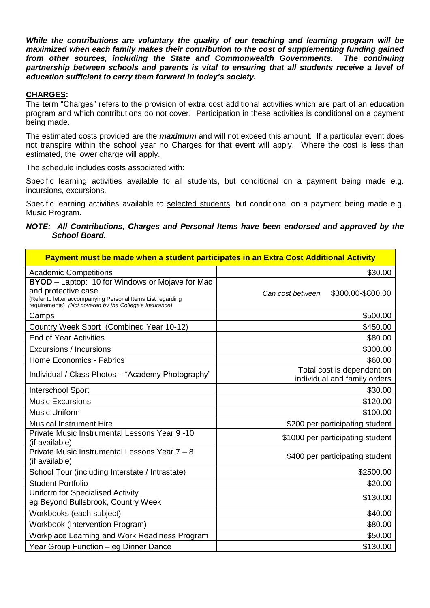*While the contributions are voluntary the quality of our teaching and learning program will be maximized when each family makes their contribution to the cost of supplementing funding gained from other sources, including the State and Commonwealth Governments. The continuing partnership between schools and parents is vital to ensuring that all students receive a level of education sufficient to carry them forward in today's society.*

## **CHARGES:**

The term "Charges" refers to the provision of extra cost additional activities which are part of an education program and which contributions do not cover. Participation in these activities is conditional on a payment being made.

The estimated costs provided are the *maximum* and will not exceed this amount. If a particular event does not transpire within the school year no Charges for that event will apply. Where the cost is less than estimated, the lower charge will apply.

The schedule includes costs associated with:

Specific learning activities available to all students, but conditional on a payment being made e.g. incursions, excursions.

Specific learning activities available to selected students, but conditional on a payment being made e.g. Music Program.

### *NOTE: All Contributions, Charges and Personal Items have been endorsed and approved by the School Board.*

| Payment must be made when a student participates in an Extra Cost Additional Activity                                                                                                                  |                                                            |  |
|--------------------------------------------------------------------------------------------------------------------------------------------------------------------------------------------------------|------------------------------------------------------------|--|
| <b>Academic Competitions</b>                                                                                                                                                                           | \$30.00                                                    |  |
| <b>BYOD</b> – Laptop: 10 for Windows or Mojave for Mac<br>and protective case<br>(Refer to letter accompanying Personal Items List regarding<br>requirements) (Not covered by the College's insurance) | \$300.00-\$800.00<br>Can cost between                      |  |
| Camps                                                                                                                                                                                                  | \$500.00                                                   |  |
| Country Week Sport (Combined Year 10-12)                                                                                                                                                               | \$450.00                                                   |  |
| <b>End of Year Activities</b>                                                                                                                                                                          | \$80.00                                                    |  |
| Excursions / Incursions                                                                                                                                                                                | \$300.00                                                   |  |
| <b>Home Economics - Fabrics</b>                                                                                                                                                                        | \$60.00                                                    |  |
| Individual / Class Photos - "Academy Photography"                                                                                                                                                      | Total cost is dependent on<br>individual and family orders |  |
| <b>Interschool Sport</b>                                                                                                                                                                               | \$30.00                                                    |  |
| <b>Music Excursions</b>                                                                                                                                                                                | \$120.00                                                   |  |
| <b>Music Uniform</b>                                                                                                                                                                                   | \$100.00                                                   |  |
| <b>Musical Instrument Hire</b>                                                                                                                                                                         | \$200 per participating student                            |  |
| Private Music Instrumental Lessons Year 9 -10<br>(if available)                                                                                                                                        | \$1000 per participating student                           |  |
| Private Music Instrumental Lessons Year 7 - 8<br>(if available)                                                                                                                                        | \$400 per participating student                            |  |
| School Tour (including Interstate / Intrastate)                                                                                                                                                        | \$2500.00                                                  |  |
| <b>Student Portfolio</b>                                                                                                                                                                               | \$20.00                                                    |  |
| <b>Uniform for Specialised Activity</b><br>eg Beyond Bullsbrook, Country Week                                                                                                                          | \$130.00                                                   |  |
| Workbooks (each subject)                                                                                                                                                                               | \$40.00                                                    |  |
| <b>Workbook (Intervention Program)</b>                                                                                                                                                                 | \$80.00                                                    |  |
| Workplace Learning and Work Readiness Program                                                                                                                                                          | \$50.00                                                    |  |
| Year Group Function - eg Dinner Dance                                                                                                                                                                  | \$130.00                                                   |  |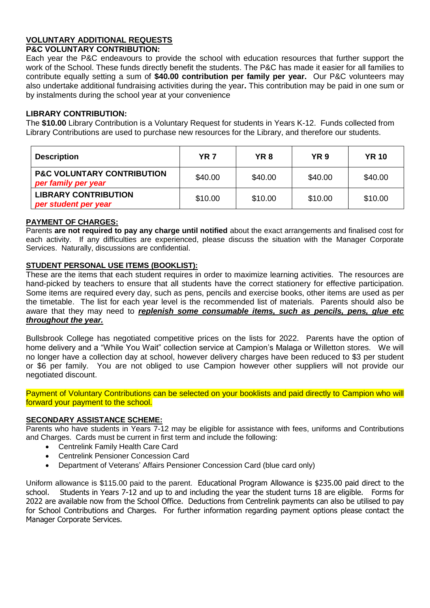# **VOLUNTARY ADDITIONAL REQUESTS**

#### **P&C VOLUNTARY CONTRIBUTION:**

Each year the P&C endeavours to provide the school with education resources that further support the work of the School. These funds directly benefit the students. The P&C has made it easier for all families to contribute equally setting a sum of **\$40.00 contribution per family per year.** Our P&C volunteers may also undertake additional fundraising activities during the year**.** This contribution may be paid in one sum or by instalments during the school year at your convenience

#### **LIBRARY CONTRIBUTION:**

The **\$10.00** Library Contribution is a Voluntary Request for students in Years K-12. Funds collected from Library Contributions are used to purchase new resources for the Library, and therefore our students.

| <b>Description</b>                                           | <b>YR 7</b> | YR 8    | YR 9    | <b>YR 10</b> |
|--------------------------------------------------------------|-------------|---------|---------|--------------|
| <b>P&amp;C VOLUNTARY CONTRIBUTION</b><br>per family per year | \$40.00     | \$40.00 | \$40.00 | \$40.00      |
| <b>LIBRARY CONTRIBUTION</b><br>per student per year          | \$10.00     | \$10.00 | \$10.00 | \$10.00      |

#### **PAYMENT OF CHARGES:**

Parents **are not required to pay any charge until notified** about the exact arrangements and finalised cost for each activity. If any difficulties are experienced, please discuss the situation with the Manager Corporate Services. Naturally, discussions are confidential.

### **STUDENT PERSONAL USE ITEMS (BOOKLIST):**

These are the items that each student requires in order to maximize learning activities. The resources are hand-picked by teachers to ensure that all students have the correct stationery for effective participation. Some items are required every day, such as pens, pencils and exercise books, other items are used as per the timetable. The list for each year level is the recommended list of materials. Parents should also be aware that they may need to *replenish some consumable items, such as pencils, pens, glue etc throughout the year.*

Bullsbrook College has negotiated competitive prices on the lists for 2022. Parents have the option of home delivery and a "While You Wait" collection service at Campion's Malaga or Willetton stores. We will no longer have a collection day at school, however delivery charges have been reduced to \$3 per student or \$6 per family. You are not obliged to use Campion however other suppliers will not provide our negotiated discount.

Payment of Voluntary Contributions can be selected on your booklists and paid directly to Campion who will forward your payment to the school.

#### **SECONDARY ASSISTANCE SCHEME:**

Parents who have students in Years 7-12 may be eligible for assistance with fees, uniforms and Contributions and Charges. Cards must be current in first term and include the following:

- Centrelink Family Health Care Card
- Centrelink Pensioner Concession Card
- Department of Veterans' Affairs Pensioner Concession Card (blue card only)

Uniform allowance is \$115.00 paid to the parent. Educational Program Allowance is \$235.00 paid direct to the school. Students in Years 7-12 and up to and including the year the student turns 18 are eligible. Forms for 2022 are available now from the School Office. Deductions from Centrelink payments can also be utilised to pay for School Contributions and Charges. For further information regarding payment options please contact the Manager Corporate Services.